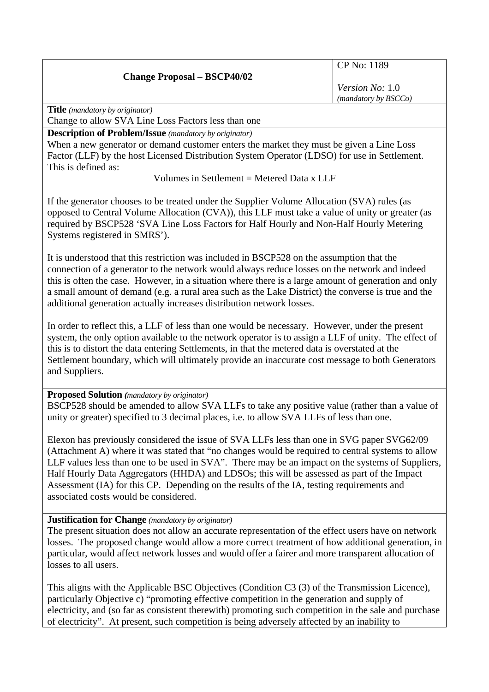# **Change Proposal – BSCP40/02**

CP No: 1189

*Version No:* 1.0 *(mandatory by BSCCo)*

**Title** *(mandatory by originator)* 

Change to allow SVA Line Loss Factors less than one

**Description of Problem/Issue** *(mandatory by originator)* 

When a new generator or demand customer enters the market they must be given a Line Loss Factor (LLF) by the host Licensed Distribution System Operator (LDSO) for use in Settlement. This is defined as:

Volumes in Settlement  $=$  Metered Data x LLF

If the generator chooses to be treated under the Supplier Volume Allocation (SVA) rules (as opposed to Central Volume Allocation (CVA)), this LLF must take a value of unity or greater (as required by BSCP528 'SVA Line Loss Factors for Half Hourly and Non-Half Hourly Metering Systems registered in SMRS').

It is understood that this restriction was included in BSCP528 on the assumption that the connection of a generator to the network would always reduce losses on the network and indeed this is often the case. However, in a situation where there is a large amount of generation and only a small amount of demand (e.g. a rural area such as the Lake District) the converse is true and the additional generation actually increases distribution network losses.

In order to reflect this, a LLF of less than one would be necessary. However, under the present system, the only option available to the network operator is to assign a LLF of unity. The effect of this is to distort the data entering Settlements, in that the metered data is overstated at the Settlement boundary, which will ultimately provide an inaccurate cost message to both Generators and Suppliers.

### **Proposed Solution** *(mandatory by originator)*

BSCP528 should be amended to allow SVA LLFs to take any positive value (rather than a value of unity or greater) specified to 3 decimal places, i.e. to allow SVA LLFs of less than one.

Elexon has previously considered the issue of SVA LLFs less than one in SVG paper SVG62/09 (Attachment A) where it was stated that "no changes would be required to central systems to allow LLF values less than one to be used in SVA". There may be an impact on the systems of Suppliers, Half Hourly Data Aggregators (HHDA) and LDSOs; this will be assessed as part of the Impact Assessment (IA) for this CP. Depending on the results of the IA, testing requirements and associated costs would be considered.

## **Justification for Change** *(mandatory by originator)*

The present situation does not allow an accurate representation of the effect users have on network losses. The proposed change would allow a more correct treatment of how additional generation, in particular, would affect network losses and would offer a fairer and more transparent allocation of losses to all users.

This aligns with the Applicable BSC Objectives (Condition C3 (3) of the Transmission Licence), particularly Objective c) "promoting effective competition in the generation and supply of electricity, and (so far as consistent therewith) promoting such competition in the sale and purchase of electricity". At present, such competition is being adversely affected by an inability to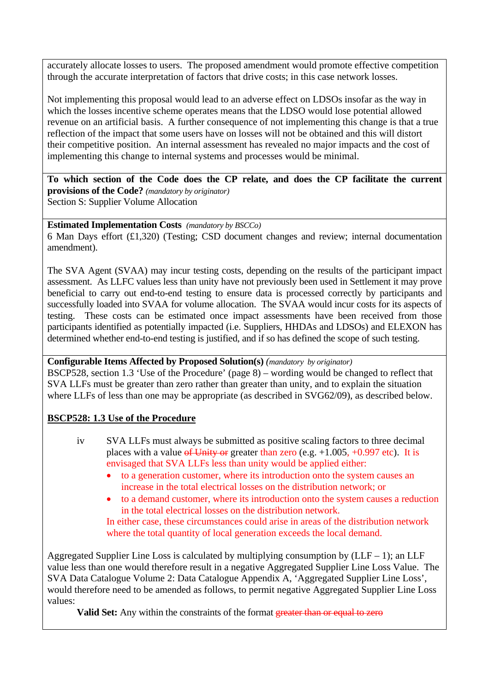accurately allocate losses to users. The proposed amendment would promote effective competition through the accurate interpretation of factors that drive costs; in this case network losses.

Not implementing this proposal would lead to an adverse effect on LDSOs insofar as the way in which the losses incentive scheme operates means that the LDSO would lose potential allowed revenue on an artificial basis. A further consequence of not implementing this change is that a true reflection of the impact that some users have on losses will not be obtained and this will distort their competitive position. An internal assessment has revealed no major impacts and the cost of implementing this change to internal systems and processes would be minimal.

**To which section of the Code does the CP relate, and does the CP facilitate the current provisions of the Code?** *(mandatory by originator)*  Section S: Supplier Volume Allocation

# **Estimated Implementation Costs** *(mandatory by BSCCo)*

6 Man Days effort (£1,320) (Testing; CSD document changes and review; internal documentation amendment).

The SVA Agent (SVAA) may incur testing costs, depending on the results of the participant impact assessment. As LLFC values less than unity have not previously been used in Settlement it may prove beneficial to carry out end-to-end testing to ensure data is processed correctly by participants and successfully loaded into SVAA for volume allocation. The SVAA would incur costs for its aspects of testing. These costs can be estimated once impact assessments have been received from those participants identified as potentially impacted (i.e. Suppliers, HHDAs and LDSOs) and ELEXON has determined whether end-to-end testing is justified, and if so has defined the scope of such testing.

### **Configurable Items Affected by Proposed Solution(s)** *(mandatory by originator)*

BSCP528, section 1.3 'Use of the Procedure' (page 8) – wording would be changed to reflect that SVA LLFs must be greater than zero rather than greater than unity, and to explain the situation where LLFs of less than one may be appropriate (as described in SVG62/09), as described below.

## **BSCP528: 1.3 Use of the Procedure**

- iv SVA LLFs must always be submitted as positive scaling factors to three decimal places with a value of Unity or greater than zero (e.g.  $+1.005, +0.997$  etc). It is envisaged that SVA LLFs less than unity would be applied either:
	- to a generation customer, where its introduction onto the system causes an increase in the total electrical losses on the distribution network; or
	- to a demand customer, where its introduction onto the system causes a reduction in the total electrical losses on the distribution network. In either case, these circumstances could arise in areas of the distribution network where the total quantity of local generation exceeds the local demand.

Aggregated Supplier Line Loss is calculated by multiplying consumption by  $(LLF - 1)$ ; an LLF value less than one would therefore result in a negative Aggregated Supplier Line Loss Value. The SVA Data Catalogue Volume 2: Data Catalogue Appendix A, 'Aggregated Supplier Line Loss', would therefore need to be amended as follows, to permit negative Aggregated Supplier Line Loss values:

**Valid Set:** Any within the constraints of the format greater than or equal to zero